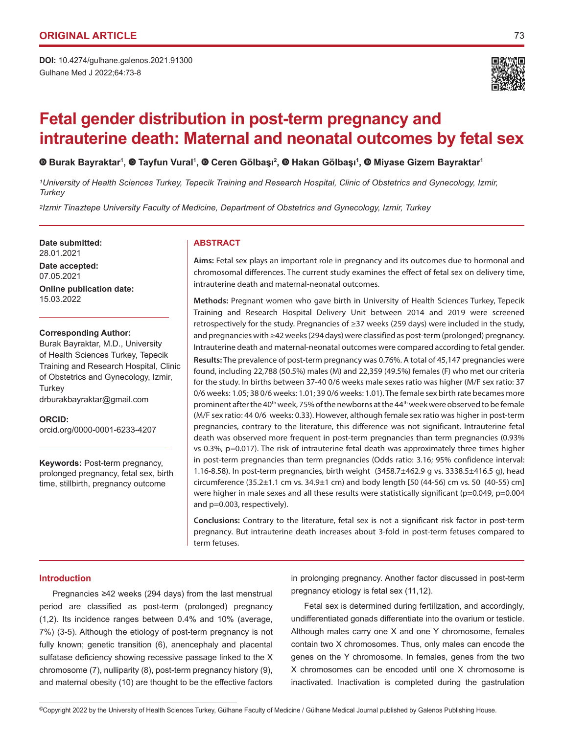Gulhane Med J 2022;64:73-8 **DOI:** 10.4274/gulhane.galenos.2021.91300



# **Fetal gender distribution in post-term pregnancy and intrauterine death: Maternal and neonatal outcomes by fetal sex**

**Burak Bayraktar1 , Tayfun Vural1 , Ceren Gölbaşı<sup>2</sup> , Hakan Gölbaşı<sup>1</sup> ,Miyase Gizem Bayraktar<sup>1</sup>**

*1University of Health Sciences Turkey, Tepecik Training and Research Hospital, Clinic of Obstetrics and Gynecology, Izmir, Turkey*

*2Izmir Tinaztepe University Faculty of Medicine, Department of Obstetrics and Gynecology, Izmir, Turkey*

Date submitted: **ABSTRACT** 28.01.2021 **Date accepted:** 07.05.2021 **Online publication date:** 15.03.2022

### **Corresponding Author:**

Burak Bayraktar, M.D., University of Health Sciences Turkey, Tepecik Training and Research Hospital, Clinic of Obstetrics and Gynecology, Izmir, **Turkey** drburakbayraktar@gmail.com

**ORCID:**  orcid.org/0000-0001-6233-4207

**Keywords:** Post-term pregnancy, prolonged pregnancy, fetal sex, birth time, stillbirth, pregnancy outcome

**Aims:** Fetal sex plays an important role in pregnancy and its outcomes due to hormonal and chromosomal differences. The current study examines the effect of fetal sex on delivery time, intrauterine death and maternal-neonatal outcomes.

**Methods:** Pregnant women who gave birth in University of Health Sciences Turkey, Tepecik Training and Research Hospital Delivery Unit between 2014 and 2019 were screened retrospectively for the study. Pregnancies of ≥37 weeks (259 days) were included in the study, and pregnancies with ≥42 weeks (294 days) were classified as post-term (prolonged) pregnancy. Intrauterine death and maternal-neonatal outcomes were compared according to fetal gender.

**Results:** The prevalence of post-term pregnancy was 0.76%. A total of 45,147 pregnancies were found, including 22,788 (50.5%) males (M) and 22,359 (49.5%) females (F) who met our criteria for the study. In births between 37-40 0/6 weeks male sexes ratio was higher (M/F sex ratio: 37 0/6 weeks: 1.05; 38 0/6 weeks: 1.01; 39 0/6 weeks: 1.01). The female sex birth rate becames more prominent after the 40<sup>th</sup> week, 75% of the newborns at the 44<sup>th</sup> week were observed to be female (M/F sex ratio: 44 0/6 weeks: 0.33). However, although female sex ratio was higher in post-term pregnancies, contrary to the literature, this difference was not significant. Intrauterine fetal death was observed more frequent in post-term pregnancies than term pregnancies (0.93% vs 0.3%, p=0.017). The risk of intrauterine fetal death was approximately three times higher in post-term pregnancies than term pregnancies (Odds ratio: 3.16; 95% confidence interval: 1.16-8.58). In post-term pregnancies, birth weight (3458.7±462.9 g vs. 3338.5±416.5 g), head circumference (35.2±1.1 cm vs. 34.9±1 cm) and body length [50 (44-56) cm vs. 50 (40-55) cm] were higher in male sexes and all these results were statistically significant (p=0.049, p=0.004 and p=0.003, respectively).

**Conclusions:** Contrary to the literature, fetal sex is not a significant risk factor in post-term pregnancy. But intrauterine death increases about 3-fold in post-term fetuses compared to term fetuses.

# **Introduction**

Pregnancies ≥42 weeks (294 days) from the last menstrual period are classified as post-term (prolonged) pregnancy (1,2). Its incidence ranges between 0.4% and 10% (average, 7%) (3-5). Although the etiology of post-term pregnancy is not fully known; genetic transition (6), anencephaly and placental sulfatase deficiency showing recessive passage linked to the X chromosome (7), nulliparity (8), post-term pregnancy history (9), and maternal obesity (10) are thought to be the effective factors

in prolonging pregnancy. Another factor discussed in post-term pregnancy etiology is fetal sex (11,12).

Fetal sex is determined during fertilization, and accordingly, undifferentiated gonads differentiate into the ovarium or testicle. Although males carry one X and one Y chromosome, females contain two X chromosomes. Thus, only males can encode the genes on the Y chromosome. In females, genes from the two X chromosomes can be encoded until one X chromosome is inactivated. Inactivation is completed during the gastrulation

<sup>©</sup>Copyright 2022 by the University of Health Sciences Turkey, Gülhane Faculty of Medicine / Gülhane Medical Journal published by Galenos Publishing House.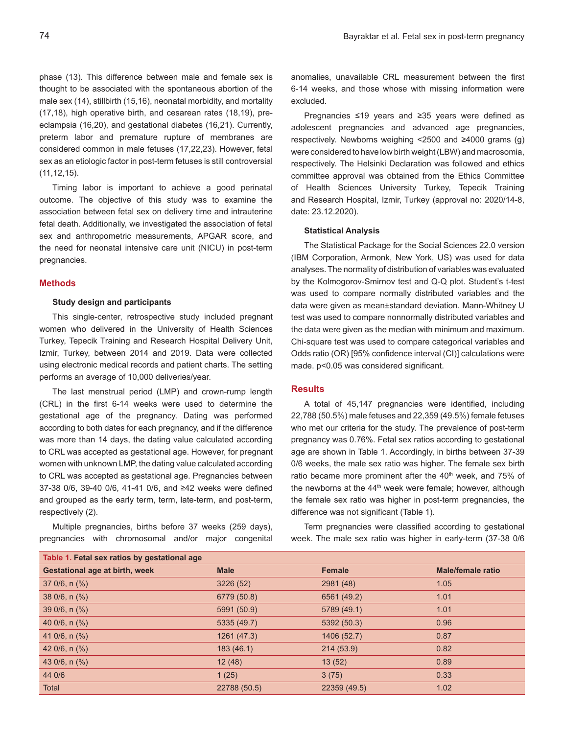phase (13). This difference between male and female sex is thought to be associated with the spontaneous abortion of the male sex (14), stillbirth (15,16), neonatal morbidity, and mortality (17,18), high operative birth, and cesarean rates (18,19), preeclampsia (16,20), and gestational diabetes (16,21). Currently, preterm labor and premature rupture of membranes are considered common in male fetuses (17,22,23). However, fetal sex as an etiologic factor in post-term fetuses is still controversial (11,12,15).

Timing labor is important to achieve a good perinatal outcome. The objective of this study was to examine the association between fetal sex on delivery time and intrauterine fetal death. Additionally, we investigated the association of fetal sex and anthropometric measurements, APGAR score, and the need for neonatal intensive care unit (NICU) in post-term pregnancies.

#### **Methods**

## **Study design and participants**

This single-center, retrospective study included pregnant women who delivered in the University of Health Sciences Turkey, Tepecik Training and Research Hospital Delivery Unit, Izmir, Turkey, between 2014 and 2019. Data were collected using electronic medical records and patient charts. The setting performs an average of 10,000 deliveries/year.

The last menstrual period (LMP) and crown-rump length (CRL) in the first 6-14 weeks were used to determine the gestational age of the pregnancy. Dating was performed according to both dates for each pregnancy, and if the difference was more than 14 days, the dating value calculated according to CRL was accepted as gestational age. However, for pregnant women with unknown LMP, the dating value calculated according to CRL was accepted as gestational age. Pregnancies between 37-38 0/6, 39-40 0/6, 41-41 0/6, and ≥42 weeks were defined and grouped as the early term, term, late-term, and post-term, respectively (2).

Multiple pregnancies, births before 37 weeks (259 days), pregnancies with chromosomal and/or major congenital anomalies, unavailable CRL measurement between the first 6-14 weeks, and those whose with missing information were excluded.

Pregnancies ≤19 years and ≥35 years were defined as adolescent pregnancies and advanced age pregnancies, respectively. Newborns weighing <2500 and ≥4000 grams (g) were considered to have low birth weight (LBW) and macrosomia, respectively. The Helsinki Declaration was followed and ethics committee approval was obtained from the Ethics Committee of Health Sciences University Turkey, Tepecik Training and Research Hospital, Izmir, Turkey (approval no: 2020/14-8, date: 23.12.2020).

# **Statistical Analysis**

The Statistical Package for the Social Sciences 22.0 version (IBM Corporation, Armonk, New York, US) was used for data analyses. The normality of distribution of variables was evaluated by the Kolmogorov-Smirnov test and Q-Q plot. Student's t-test was used to compare normally distributed variables and the data were given as mean±standard deviation. Mann-Whitney U test was used to compare nonnormally distributed variables and the data were given as the median with minimum and maximum. Chi-square test was used to compare categorical variables and Odds ratio (OR) [95% confidence interval (CI)] calculations were made. p<0.05 was considered significant.

# **Results**

A total of 45,147 pregnancies were identified, including 22,788 (50.5%) male fetuses and 22,359 (49.5%) female fetuses who met our criteria for the study. The prevalence of post-term pregnancy was 0.76%. Fetal sex ratios according to gestational age are shown in Table 1. Accordingly, in births between 37-39 0/6 weeks, the male sex ratio was higher. The female sex birth ratio became more prominent after the 40<sup>th</sup> week, and 75% of the newborns at the 44<sup>th</sup> week were female; however, although the female sex ratio was higher in post-term pregnancies, the difference was not significant (Table 1).

Term pregnancies were classified according to gestational week. The male sex ratio was higher in early-term (37-38 0/6

|                                | Table 1. Fetal sex ratios by gestational age |              |               |                          |  |
|--------------------------------|----------------------------------------------|--------------|---------------|--------------------------|--|
| Gestational age at birth, week |                                              | <b>Male</b>  | <b>Female</b> | <b>Male/female ratio</b> |  |
|                                | $370/6, n$ (%)                               | 3226(52)     | 2981 (48)     | 1.05                     |  |
|                                | $380/6, n$ (%)                               | 6779 (50.8)  | 6561 (49.2)   | 1.01                     |  |
|                                | $390/6, n$ (%)                               | 5991 (50.9)  | 5789 (49.1)   | 1.01                     |  |
|                                | 40 $0/6$ , n $(\%)$                          | 5335 (49.7)  | 5392 (50.3)   | 0.96                     |  |
|                                | 41 0/6, $n$ (%)                              | 1261 (47.3)  | 1406 (52.7)   | 0.87                     |  |
|                                | 42 $0/6$ , n $(\%)$                          | 183(46.1)    | 214 (53.9)    | 0.82                     |  |
|                                | 43 0/6, n (%)                                | 12(48)       | 13(52)        | 0.89                     |  |
|                                | 44 0/6                                       | 1(25)        | 3(75)         | 0.33                     |  |
|                                | Total                                        | 22788 (50.5) | 22359 (49.5)  | 1.02                     |  |
|                                |                                              |              |               |                          |  |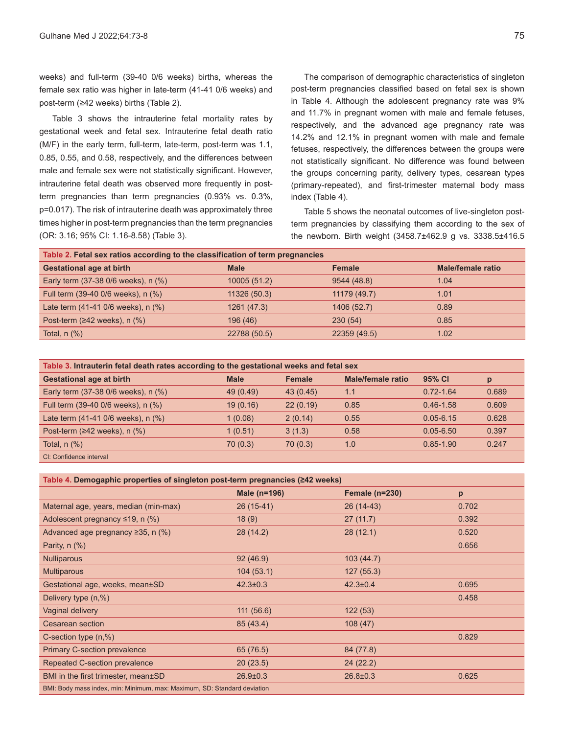weeks) and full-term (39-40 0/6 weeks) births, whereas the female sex ratio was higher in late-term (41-41 0/6 weeks) and post-term (≥42 weeks) births (Table 2).

Table 3 shows the intrauterine fetal mortality rates by gestational week and fetal sex. Intrauterine fetal death ratio (M/F) in the early term, full-term, late-term, post-term was 1.1, 0.85, 0.55, and 0.58, respectively, and the differences between male and female sex were not statistically significant. However, intrauterine fetal death was observed more frequently in postterm pregnancies than term pregnancies (0.93% vs. 0.3%, p=0.017). The risk of intrauterine death was approximately three times higher in post-term pregnancies than the term pregnancies (OR: 3.16; 95% CI: 1.16-8.58) (Table 3).

The comparison of demographic characteristics of singleton post-term pregnancies classified based on fetal sex is shown in Table 4. Although the adolescent pregnancy rate was 9% and 11.7% in pregnant women with male and female fetuses, respectively, and the advanced age pregnancy rate was 14.2% and 12.1% in pregnant women with male and female fetuses, respectively, the differences between the groups were not statistically significant. No difference was found between the groups concerning parity, delivery types, cesarean types (primary-repeated), and first-trimester maternal body mass index (Table 4).

Table 5 shows the neonatal outcomes of live-singleton postterm pregnancies by classifying them according to the sex of the newborn. Birth weight (3458.7±462.9 g vs. 3338.5±416.5

| Table 2. Fetal sex ratios according to the classification of term pregnancies |              |               |                          |  |
|-------------------------------------------------------------------------------|--------------|---------------|--------------------------|--|
| <b>Gestational age at birth</b>                                               | <b>Male</b>  | <b>Female</b> | <b>Male/female ratio</b> |  |
| Early term (37-38 0/6 weeks), n (%)                                           | 10005 (51.2) | 9544 (48.8)   | 1.04                     |  |
| Full term (39-40 0/6 weeks), n (%)                                            | 11326 (50.3) | 11179 (49.7)  | 1.01                     |  |
| Late term (41-41 0/6 weeks), n (%)                                            | 1261 (47.3)  | 1406 (52.7)   | 0.89                     |  |
| Post-term ( $\geq$ 42 weeks), n (%)                                           | 196 (46)     | 230(54)       | 0.85                     |  |
| Total, $n$ $(\%)$                                                             | 22788 (50.5) | 22359 (49.5)  | 1.02                     |  |

| Table 3. Intrauterin fetal death rates according to the gestational weeks and fetal sex |             |          |                   |               |       |
|-----------------------------------------------------------------------------------------|-------------|----------|-------------------|---------------|-------|
| <b>Gestational age at birth</b>                                                         | <b>Male</b> | Female   | Male/female ratio | 95% CI        | p     |
| Early term (37-38 0/6 weeks), n (%)                                                     | 49 (0.49)   | 43(0.45) | 1.1               | $0.72 - 1.64$ | 0.689 |
| Full term (39-40 0/6 weeks), n (%)                                                      | 19(0.16)    | 22(0.19) | 0.85              | $0.46 - 1.58$ | 0.609 |
| Late term (41-41 0/6 weeks), n (%)                                                      | 1(0.08)     | 2(0.14)  | 0.55              | $0.05 - 6.15$ | 0.628 |
| Post-term $(≥42$ weeks), n $(%$                                                         | 1(0.51)     | 3(1.3)   | 0.58              | $0.05 - 6.50$ | 0.397 |
| Total, $n$ $%$ )                                                                        | 70(0.3)     | 70(0.3)  | 1.0               | $0.85 - 1.90$ | 0.247 |
| CI: Confidence interval                                                                 |             |          |                   |               |       |

| Table 4. Demogaphic properties of singleton post-term pregnancies (≥42 weeks) |                |                       |       |  |
|-------------------------------------------------------------------------------|----------------|-----------------------|-------|--|
|                                                                               | Male (n=196)   | <b>Female (n=230)</b> | p     |  |
| Maternal age, years, median (min-max)                                         | 26 (15-41)     | 26 (14-43)            | 0.702 |  |
| Adolescent pregnancy $\leq$ 19, n (%)                                         | 18(9)          | 27(11.7)              | 0.392 |  |
| Advanced age pregnancy $\geq$ 35, n (%)                                       | 28(14.2)       | 28(12.1)              | 0.520 |  |
| Parity, $n$ $(\%)$                                                            |                |                       | 0.656 |  |
| <b>Nulliparous</b>                                                            | 92(46.9)       | 103(44.7)             |       |  |
| <b>Multiparous</b>                                                            | 104(53.1)      | 127(55.3)             |       |  |
| Gestational age, weeks, mean±SD                                               | $42.3 \pm 0.3$ | $42.3 \pm 0.4$        | 0.695 |  |
| Delivery type $(n, %)$                                                        |                |                       | 0.458 |  |
| Vaginal delivery                                                              | 111(56.6)      | 122(53)               |       |  |
| Cesarean section                                                              | 85 (43.4)      | 108(47)               |       |  |
| C-section type $(n, %)$                                                       |                |                       | 0.829 |  |
| <b>Primary C-section prevalence</b>                                           | 65 (76.5)      | 84 (77.8)             |       |  |
| Repeated C-section prevalence                                                 | 20(23.5)       | 24(22.2)              |       |  |
| BMI in the first trimester, mean±SD                                           | $26.9 \pm 0.3$ | $26.8 \pm 0.3$        | 0.625 |  |
| BMI: Body mass index, min: Minimum, max: Maximum, SD: Standard deviation      |                |                       |       |  |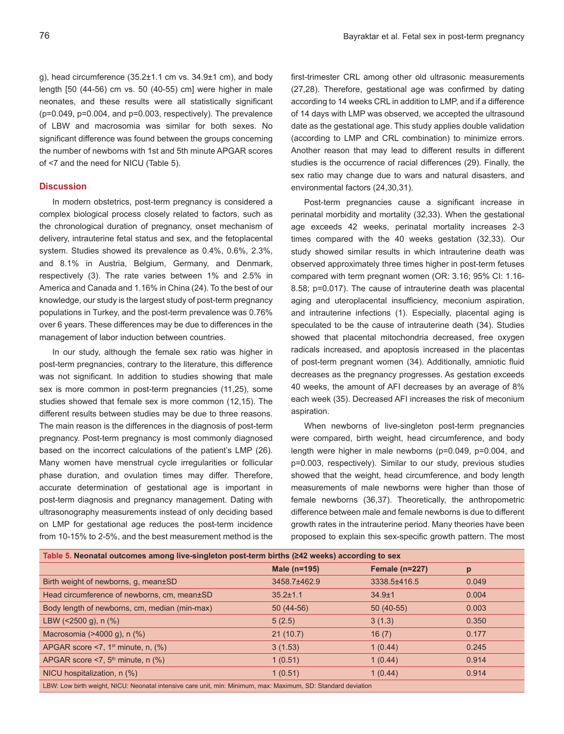g), head circumference  $(35.2 \pm 1.1 \text{ cm} \text{ vs. } 34.9 \pm 1 \text{ cm})$ , and body length [50 (44-56) cm vs. 50 (40-55) cm] were higher in male neonates, and these results were all statistically significant (p=0.049, p=0.004, and p=0.003, respectively). The prevalence of LBW and macrosomia was similar for both sexes. No significant difference was found between the groups concerning the number of newborns with 1st and 5th minute APGAR scores of <7 and the need for NICU (Table 5).

# **Discussion**

In modern obstetrics, post-term pregnancy is considered a complex biological process closely related to factors, such as the chronological duration of pregnancy, onset mechanism of delivery, intrauterine fetal status and sex, and the fetoplacental system. Studies showed its prevalence as 0.4%, 0.6%, 2.3%, and 8.1% in Austria, Belgium, Germany, and Denmark, respectively (3). The rate varies between 1% and 2.5% in America and Canada and 1.16% in China (24). To the best of our knowledge, our study is the largest study of post-term pregnancy populations in Turkey, and the post-term prevalence was 0.76% over 6 years. These differences may be due to differences in the management of labor induction between countries.

In our study, although the female sex ratio was higher in post-term pregnancies, contrary to the literature, this difference was not significant. In addition to studies showing that male sex is more common in post-term pregnancies (11,25), some studies showed that female sex is more common (12,15). The different results between studies may be due to three reasons. The main reason is the differences in the diagnosis of post-term pregnancy. Post-term pregnancy is most commonly diagnosed based on the incorrect calculations of the patient's LMP (26). Many women have menstrual cycle irregularities or follicular phase duration, and ovulation times may differ. Therefore, accurate determination of gestational age is important in post-term diagnosis and pregnancy management. Dating with ultrasonography measurements instead of only deciding based on LMP for gestational age reduces the post-term incidence from 10-15% to 2-5%, and the best measurement method is the

first-trimester CRL among other old ultrasonic measurements (27,28). Therefore, gestational age was confirmed by dating according to 14 weeks CRL in addition to LMP, and if a difference of 14 days with LMP was observed, we accepted the ultrasound date as the gestational age. This study applies double validation (according to LMP and CRL combination) to minimize errors. Another reason that may lead to different results in different studies is the occurrence of racial differences (29). Finally, the sex ratio may change due to wars and natural disasters, and environmental factors (24,30,31).

Post-term pregnancies cause a significant increase in perinatal morbidity and mortality (32,33). When the gestational age exceeds 42 weeks, perinatal mortality increases 2-3 times compared with the 40 weeks gestation (32,33). Our study showed similar results in which intrauterine death was observed approximately three times higher in post-term fetuses compared with term pregnant women (OR: 3.16; 95% CI: 1.16- 8.58; p=0.017). The cause of intrauterine death was placental aging and uteroplacental insufficiency, meconium aspiration, and intrauterine infections (1). Especially, placental aging is speculated to be the cause of intrauterine death (34). Studies showed that placental mitochondria decreased, free oxygen radicals increased, and apoptosis increased in the placentas of post-term pregnant women (34). Additionally, amniotic fluid decreases as the pregnancy progresses. As gestation exceeds 40 weeks, the amount of AFI decreases by an average of 8% each week (35). Decreased AFI increases the risk of meconium aspiration.

When newborns of live-singleton post-term pregnancies were compared, birth weight, head circumference, and body length were higher in male newborns (p=0.049, p=0.004, and p=0.003, respectively). Similar to our study, previous studies showed that the weight, head circumference, and body length measurements of male newborns were higher than those of female newborns (36,37). Theoretically, the anthropometric difference between male and female newborns is due to different growth rates in the intrauterine period. Many theories have been proposed to explain this sex-specific growth pattern. The most

| Table 5. Neonatal outcomes among live-singleton post-term births (≥42 weeks) according to sex                 |                |                  |       |  |  |
|---------------------------------------------------------------------------------------------------------------|----------------|------------------|-------|--|--|
|                                                                                                               | Male (n=195)   | Female $(n=227)$ | p     |  |  |
| Birth weight of newborns, g, mean±SD                                                                          | 3458.7±462.9   | 3338.5±416.5     | 0.049 |  |  |
| Head circumference of newborns, cm, mean±SD                                                                   | $35.2 \pm 1.1$ | $34.9 \pm 1$     | 0.004 |  |  |
| Body length of newborns, cm, median (min-max)                                                                 | $50(44-56)$    | $50(40-55)$      | 0.003 |  |  |
| LBW ( $\leq$ 2500 g), n (%)                                                                                   | 5(2.5)         | 3(1.3)           | 0.350 |  |  |
| Macrosomia (>4000 g), n (%)                                                                                   | 21(10.7)       | 16(7)            | 0.177 |  |  |
| APGAR score $\leq 7$ , 1 <sup>st</sup> minute, n, $(\%)$                                                      | 3(1.53)        | 1(0.44)          | 0.245 |  |  |
| APGAR score $\leq 7$ , 5 <sup>th</sup> minute, n (%)                                                          | 1(0.51)        | 1(0.44)          | 0.914 |  |  |
| NICU hospitalization, n (%)                                                                                   | 1(0.51)        | 1(0.44)          | 0.914 |  |  |
| LBW: Low birth weight, NICU: Neonatal intensive care unit, min: Minimum, max: Maximum, SD: Standard deviation |                |                  |       |  |  |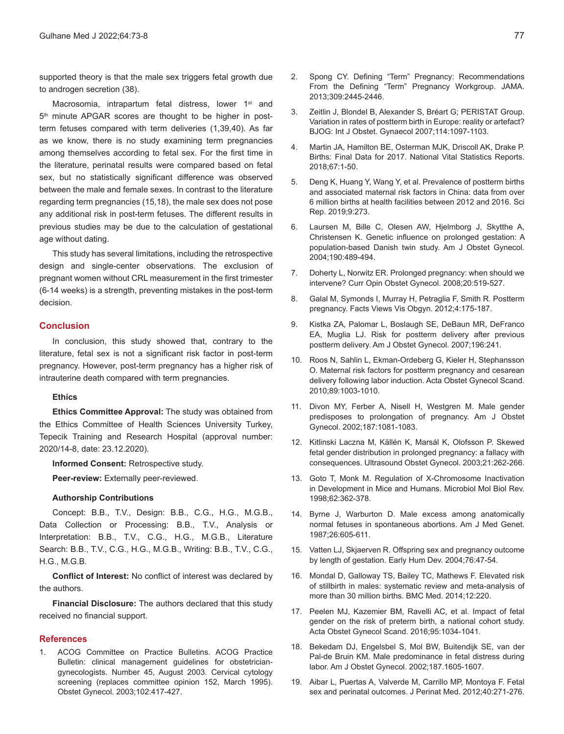supported theory is that the male sex triggers fetal growth due to androgen secretion (38).

Macrosomia, intrapartum fetal distress, lower 1<sup>st</sup> and 5<sup>th</sup> minute APGAR scores are thought to be higher in postterm fetuses compared with term deliveries (1,39,40). As far as we know, there is no study examining term pregnancies among themselves according to fetal sex. For the first time in the literature, perinatal results were compared based on fetal sex, but no statistically significant difference was observed between the male and female sexes. In contrast to the literature regarding term pregnancies (15,18), the male sex does not pose any additional risk in post-term fetuses. The different results in previous studies may be due to the calculation of gestational age without dating.

This study has several limitations, including the retrospective design and single-center observations. The exclusion of pregnant women without CRL measurement in the first trimester (6-14 weeks) is a strength, preventing mistakes in the post-term decision.

# **Conclusion**

In conclusion, this study showed that, contrary to the literature, fetal sex is not a significant risk factor in post-term pregnancy. However, post-term pregnancy has a higher risk of intrauterine death compared with term pregnancies.

# **Ethics**

**Ethics Committee Approval:** The study was obtained from the Ethics Committee of Health Sciences University Turkey, Tepecik Training and Research Hospital (approval number: 2020/14-8, date: 23.12.2020).

**Informed Consent:** Retrospective study.

**Peer-review:** Externally peer-reviewed.

# **Authorship Contributions**

Concept: B.B., T.V., Design: B.B., C.G., H.G., M.G.B., Data Collection or Processing: B.B., T.V., Analysis or Interpretation: B.B., T.V., C.G., H.G., M.G.B., Literature Search: B.B., T.V., C.G., H.G., M.G.B., Writing: B.B., T.V., C.G., H.G., M.G.B.

**Conflict of Interest:** No conflict of interest was declared by the authors.

**Financial Disclosure:** The authors declared that this study received no financial support.

# **References**

1. ACOG Committee on Practice Bulletins. ACOG Practice Bulletin: clinical management guidelines for obstetriciangynecologists. Number 45, August 2003. Cervical cytology screening (replaces committee opinion 152, March 1995). Obstet Gynecol. 2003;102:417-427.

- 2. Spong CY. Defining "Term" Pregnancy: Recommendations From the Defining "Term" Pregnancy Workgroup. JAMA. 2013;309:2445-2446.
- 3. Zeitlin J, Blondel B, Alexander S, Bréart G; PERISTAT Group. Variation in rates of postterm birth in Europe: reality or artefact? BJOG: Int J Obstet. Gynaecol 2007;114:1097-1103.
- 4. Martin JA, Hamilton BE, Osterman MJK, Driscoll AK, Drake P. Births: Final Data for 2017. National Vital Statistics Reports. 2018;67:1-50.
- 5. Deng K, Huang Y, Wang Y, et al. Prevalence of postterm births and associated maternal risk factors in China: data from over 6 million births at health facilities between 2012 and 2016. Sci Rep. 2019;9:273.
- 6. Laursen M, Bille C, Olesen AW, Hjelmborg J, Skytthe A, Christensen K. Genetic influence on prolonged gestation: A population-based Danish twin study. Am J Obstet Gynecol. 2004;190:489-494.
- 7. Doherty L, Norwitz ER. Prolonged pregnancy: when should we intervene? Curr Opin Obstet Gynecol. 2008;20:519-527.
- 8. Galal M, Symonds I, Murray H, Petraglia F, Smith R. Postterm pregnancy. Facts Views Vis Obgyn. 2012;4:175-187.
- 9. Kistka ZA, Palomar L, Boslaugh SE, DeBaun MR, DeFranco EA, Muglia LJ. Risk for postterm delivery after previous postterm delivery. Am J Obstet Gynecol. 2007;196:241.
- 10. Roos N, Sahlin L, Ekman-Ordeberg G, Kieler H, Stephansson O. Maternal risk factors for postterm pregnancy and cesarean delivery following labor induction. Acta Obstet Gynecol Scand. 2010;89:1003-1010.
- 11. Divon MY, Ferber A, Nisell H, Westgren M. Male gender predisposes to prolongation of pregnancy. Am J Obstet Gynecol. 2002;187:1081-1083.
- 12. Kitlinski Laczna M, Källén K, Marsál K, Olofsson P. Skewed fetal gender distribution in prolonged pregnancy: a fallacy with consequences. Ultrasound Obstet Gynecol. 2003;21:262-266.
- 13. Goto T, Monk M. Regulation of X-Chromosome Inactivation in Development in Mice and Humans. Microbiol Mol Biol Rev. 1998;62:362-378.
- 14. Byrne J, Warburton D. Male excess among anatomically normal fetuses in spontaneous abortions. Am J Med Genet. 1987;26:605-611.
- 15. Vatten LJ, Skjaerven R. Offspring sex and pregnancy outcome by length of gestation. Early Hum Dev. 2004;76:47-54.
- 16. Mondal D, Galloway TS, Bailey TC, Mathews F. Elevated risk of stillbirth in males: systematic review and meta-analysis of more than 30 million births. BMC Med. 2014;12:220.
- 17. Peelen MJ, Kazemier BM, Ravelli AC, et al. Impact of fetal gender on the risk of preterm birth, a national cohort study. Acta Obstet Gynecol Scand. 2016;95:1034-1041.
- 18. Bekedam DJ, Engelsbel S, Mol BW, Buitendijk SE, van der Pal-de Bruin KM. Male predominance in fetal distress during labor. Am J Obstet Gynecol. 2002;187.1605-1607.
- 19. Aibar L, Puertas A, Valverde M, Carrillo MP, Montoya F. Fetal sex and perinatal outcomes. J Perinat Med. 2012;40:271-276.